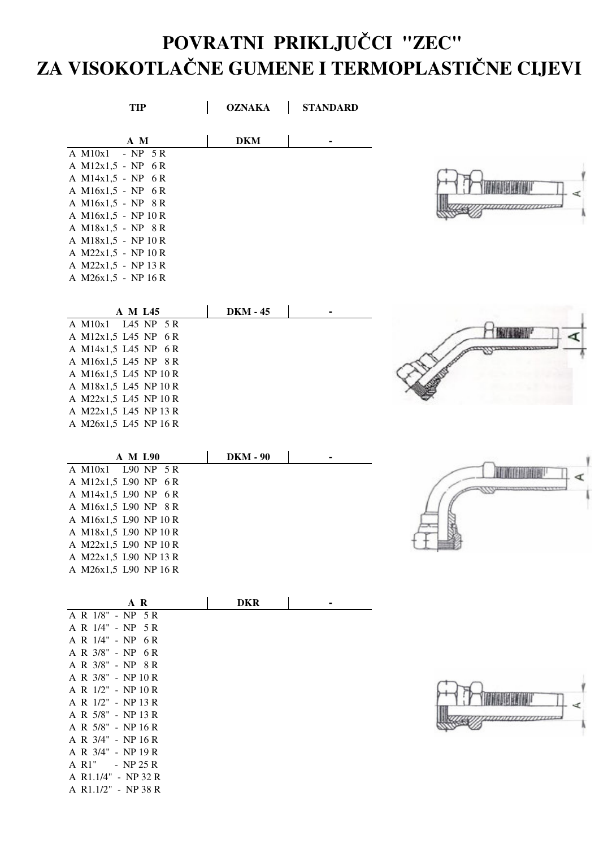## **POVRATNI PRIKLJUCI "ZEC" ZA VISOKOTLANE GUMENE I TERMOPLASTINE CIJEVI**

| <b>TIP</b>                                     | <b>OZNAKA</b>   | <b>STANDARD</b> |  |
|------------------------------------------------|-----------------|-----------------|--|
| A M                                            | <b>DKM</b>      |                 |  |
| A M10x1 - NP 5R                                |                 |                 |  |
| A M12x1,5 - NP 6R                              |                 |                 |  |
| A M14x1,5 - NP 6R<br>A M16x1,5 - NP 6R         |                 |                 |  |
| A M16x1,5 - NP 8R                              |                 |                 |  |
| A M16x1,5 - NP 10 R                            |                 |                 |  |
| A M18x1,5 - NP 8R                              |                 |                 |  |
| A M18x1,5 - NP 10 R                            |                 |                 |  |
| A M22x1,5 - NP 10 R                            |                 |                 |  |
| A M22x1,5 - NP 13 R                            |                 |                 |  |
| A M26x1,5 - NP 16 R                            |                 |                 |  |
| A M L45                                        | <b>DKM - 45</b> |                 |  |
| A M10x1 L45 NP 5R                              |                 |                 |  |
| A M12x1,5 L45 NP 6R                            |                 |                 |  |
| A M14x1,5 L45 NP 6R                            |                 |                 |  |
| A M16x1,5 L45 NP 8R<br>A M16x1,5 L45 NP 10 R   |                 |                 |  |
| A M18x1,5 L45 NP 10 R                          |                 |                 |  |
| A M22x1,5 L45 NP 10 R                          |                 |                 |  |
| A M22x1,5 L45 NP 13 R                          |                 |                 |  |
| A M26x1,5 L45 NP 16 R                          |                 |                 |  |
| A M L90                                        | <b>DKM - 90</b> |                 |  |
| A M10x1 L90 NP 5R                              |                 |                 |  |
| A M12x1,5 L90 NP 6R                            |                 |                 |  |
| A M14x1,5 L90 NP 6R                            |                 |                 |  |
| A M16x1,5 L90 NP 8R                            |                 |                 |  |
| A M16x1,5 L90 NP 10 R                          |                 |                 |  |
| A M18x1,5 L90 NP 10 R                          |                 |                 |  |
| A M22x1,5 L90 NP 10 R<br>A M22x1,5 L90 NP 13 R |                 |                 |  |
| A M26x1,5 L90 NP 16 R                          |                 |                 |  |
|                                                |                 |                 |  |
| A R                                            | <b>DKR</b>      |                 |  |
| A R 1/8" - NP 5R<br>A R 1/4" - NP 5 R          |                 |                 |  |
| A R 1/4" - NP 6R                               |                 |                 |  |
| A R 3/8" - NP 6R                               |                 |                 |  |
| A R 3/8" - NP 8 R                              |                 |                 |  |
| A R 3/8" - NP 10 R                             |                 |                 |  |
| A R 1/2" - NP 10 R                             |                 |                 |  |
| A R 1/2" - NP 13 R<br>A R 5/8" - NP 13 R       |                 |                 |  |
| A R 5/8" - NP 16 R                             |                 |                 |  |
| A R 3/4" - NP 16 R                             |                 |                 |  |
| A R 3/4" - NP 19 R                             |                 |                 |  |
| A R1" - NP 25 R                                |                 |                 |  |
| A R1.1/4" - NP 32 R                            |                 |                 |  |
| A R1.1/2" - NP 38 R                            |                 |                 |  |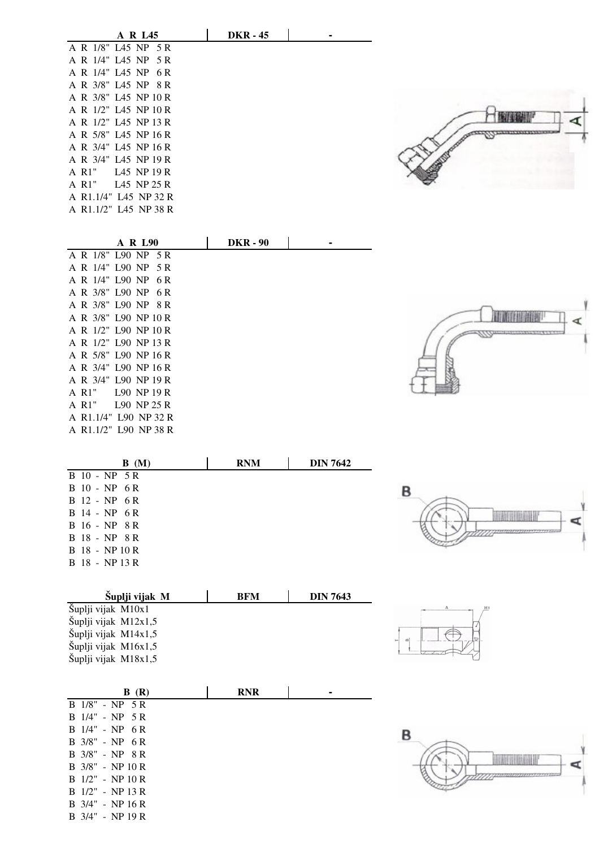| A R L45               | <b>DKR - 45</b> |  |  |             |  |
|-----------------------|-----------------|--|--|-------------|--|
| A R 1/8" L45 NP 5 R   |                 |  |  |             |  |
| A R 1/4" L45 NP 5 R   |                 |  |  |             |  |
| A R 1/4" L45 NP 6R    |                 |  |  |             |  |
| A R 3/8" L45 NP 8 R   |                 |  |  |             |  |
| A R 3/8" L45 NP 10 R  |                 |  |  |             |  |
| A R 1/2" L45 NP 10 R  |                 |  |  |             |  |
| A R 1/2" L45 NP 13 R  |                 |  |  |             |  |
| A R 5/8" L45 NP 16 R  |                 |  |  | ----------- |  |
| A R 3/4" L45 NP 16 R  |                 |  |  |             |  |
| A R 3/4" L45 NP 19 R  |                 |  |  |             |  |
| A R1" L45 NP 19 R     |                 |  |  |             |  |
| A R1" L45 NP 25 R     |                 |  |  |             |  |
| A R1.1/4" L45 NP 32 R |                 |  |  |             |  |
| A R1.1/2" L45 NP 38 R |                 |  |  |             |  |
|                       |                 |  |  |             |  |

**DIN 7642**

| <b>A R L90</b>          | <b>DKR - 90</b> |  |
|-------------------------|-----------------|--|
| A R 1/8" L90 NP 5 R     |                 |  |
| A R 1/4" L90 NP 5 R     |                 |  |
| A R 1/4" L90 NP<br>-6 R |                 |  |
| A R 3/8" L90 NP 6 R     |                 |  |
| A R 3/8" L90 NP 8 R     |                 |  |
| A R 3/8" L90 NP 10 R    |                 |  |
| A R 1/2" L90 NP 10 R    |                 |  |
| A R 1/2" L90 NP 13 R    |                 |  |
| A R 5/8" L90 NP 16 R    |                 |  |
| A R 3/4" L90 NP 16 R    |                 |  |
| A R 3/4" L90 NP 19 R    |                 |  |
| L90 NP19R<br>A R1"      |                 |  |
| L90 NP 25 R<br>A R1"    |                 |  |
| A R1.1/4" L90 NP 32 R   |                 |  |
| A R1.1/2" L90 NP 38 R   |                 |  |
|                         |                 |  |

**B (M) RNM**

B 10 - NP 5 R B 10 - NP 6 R B 12 - NP 6 R B 14 - NP 6 R B 16 - NP 8 R B 18 - NP 8 R B 18 - NP 10 R B 18 - NP 13 R

B 3/4" - NP 19 R

| P |  |
|---|--|
|   |  |
|   |  |

| Šuplji vijak M       | BFM | <b>DIN 7643</b> |
|----------------------|-----|-----------------|
| Šuplji vijak M10x1   |     |                 |
| Šuplji vijak M12x1,5 |     |                 |
| Šuplji vijak M14x1,5 |     |                 |
| Šuplji vijak M16x1,5 |     |                 |
| Šuplji vijak M18x1,5 |     |                 |

| B(R)                        | <b>RNR</b> |  |
|-----------------------------|------------|--|
| B 1/8" - NP 5 R             |            |  |
| $B$ 1/4" - NP 5 R           |            |  |
| $B$ 1/4" - NP 6R            |            |  |
| $B \frac{3}{8}$ " - NP 6 R  |            |  |
| $B \frac{3}{8}$ " - NP $8R$ |            |  |
| $B \frac{3}{8}$ " - NP 10 R |            |  |
| $B$ 1/2" - NP 10 R          |            |  |
| B 1/2" - NP 13 R            |            |  |
| $B$ 3/4" - NP 16 R          |            |  |

|                    | А  | H <sub>1</sub> |
|--------------------|----|----------------|
| $\infty$<br>$\sim$ | m. |                |

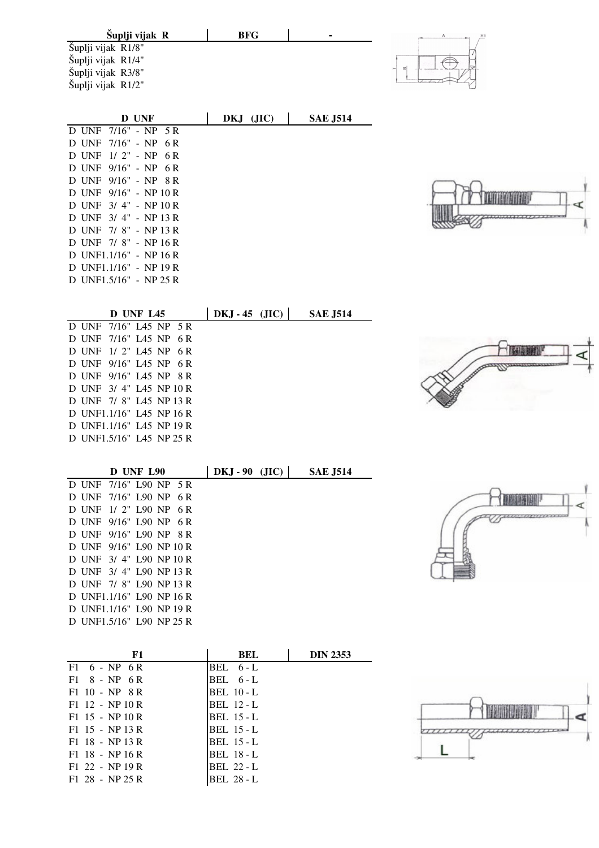| Šuplji vijak R               | <b>BFG</b>       |                 | А |
|------------------------------|------------------|-----------------|---|
| Šuplji vijak R1/8"           |                  |                 |   |
| Šuplji vijak R1/4"           |                  |                 | Ŧ |
| Šuplji vijak R3/8"           |                  |                 |   |
| Šuplji vijak R1/2"           |                  |                 |   |
|                              |                  |                 |   |
| D UNF                        | DKJ (JIC)        | <b>SAE J514</b> |   |
| D UNF 7/16" - NP 5R          |                  |                 |   |
| $7/16" - NP 6 R$<br>D UNF    |                  |                 |   |
| D UNF 1/2" - NP 6R           |                  |                 |   |
| $9/16" - NP 6 R$<br>D UNF    |                  |                 |   |
| D UNF 9/16" - NP 8R          |                  |                 |   |
| D UNF 9/16" - NP 10 R        |                  |                 |   |
| D UNF 3/4" - NP 10 R         |                  |                 |   |
| D UNF 3/4" - NP 13 R         |                  |                 |   |
| D UNF 7/8" - NP 13 R         |                  |                 |   |
| D UNF 7/8" - NP 16 R         |                  |                 |   |
| D UNF1.1/16" - NP 16 R       |                  |                 |   |
| D UNF1.1/16" - NP 19 R       |                  |                 |   |
| D UNF1.5/16" - NP 25 R       |                  |                 |   |
|                              |                  |                 |   |
| D UNF L45                    | $DKJ - 45$ (JIC) | <b>SAE J514</b> |   |
| D UNF<br>7/16" L45 NP 5R     |                  |                 |   |
| 7/16" L45 NP<br>D UNF<br>6 R |                  |                 |   |
| D UNF<br>$1/2$ " L45 NP 6R   |                  |                 |   |
| D UNF 9/16" L45 NP 6R        |                  |                 |   |
| D INE 0/14" LAS ND OD        |                  |                 |   |

| D UNF 1/2" L45 NP 6R     |                  |  |  |
|--------------------------|------------------|--|--|
| D UNF                    | 9/16" L45 NP 6R  |  |  |
| D UNF                    | 9/16" L45 NP 8 R |  |  |
| D UNF 3/4" L45 NP 10 R   |                  |  |  |
| D UNF 7/8" L45 NP 13 R   |                  |  |  |
| D UNF1.1/16" L45 NP 16 R |                  |  |  |
| D UNF1.1/16" L45 NP 19 R |                  |  |  |
| D UNF1.5/16" L45 NP 25 R |                  |  |  |
|                          |                  |  |  |

|                          | <b>D</b> UNF L90 |  |     | $DKJ - 90$ (JIC) |  | <b>SAE J514</b> |  |
|--------------------------|------------------|--|-----|------------------|--|-----------------|--|
| D UNF 7/16" L90 NP 5 R   |                  |  |     |                  |  |                 |  |
| D UNF                    | 7/16" L90 NP     |  | 6 R |                  |  |                 |  |
| D UNF 1/2" L90 NP        |                  |  | 6 R |                  |  |                 |  |
| D UNF 9/16" L90 NP       |                  |  | 6 R |                  |  |                 |  |
| D UNF 9/16" L90 NP 8 R   |                  |  |     |                  |  |                 |  |
| D UNF 9/16" L90 NP 10 R  |                  |  |     |                  |  |                 |  |
| D UNF 3/4" L90 NP 10 R   |                  |  |     |                  |  |                 |  |
| D UNF 3/4" L90 NP 13 R   |                  |  |     |                  |  |                 |  |
| D UNF 7/8" L90 NP 13 R   |                  |  |     |                  |  |                 |  |
| D UNF1.1/16" L90 NP 16 R |                  |  |     |                  |  |                 |  |
| D UNF1.1/16" L90 NP 19 R |                  |  |     |                  |  |                 |  |
| D UNF1.5/16" L90 NP 25 R |                  |  |     |                  |  |                 |  |
|                          |                  |  |     |                  |  |                 |  |

ù

| F1                         | <b>BEL</b>        | <b>DIN 2353</b> |
|----------------------------|-------------------|-----------------|
| $F1 \quad 6 - NP \quad 6R$ | BEL $6 - L$       |                 |
| $F1 \t 8 - NP \t 6R$       | BEL 6-L           |                 |
| $F1$ 10 - NP 8 R           | <b>BEL 10 - L</b> |                 |
| $F1$ 12 - NP 10 R          | BEL 12 - L        |                 |
| $F1$ 15 - NP 10 R          | <b>BEL 15 - L</b> |                 |
| $F1$ 15 - NP 13 R          | <b>BEL</b> 15 - L |                 |
| $F1$ 18 - NP 13 R          | <b>BEL 15 - L</b> |                 |
| $F1$ 18 - NP 16 R          | <b>BEL 18 - L</b> |                 |
| $F1$ 22 - NP 19 R          | <b>BEL 22 - L</b> |                 |
| $F1$ 28 - NP 25 R          | BEL 28 - L        |                 |